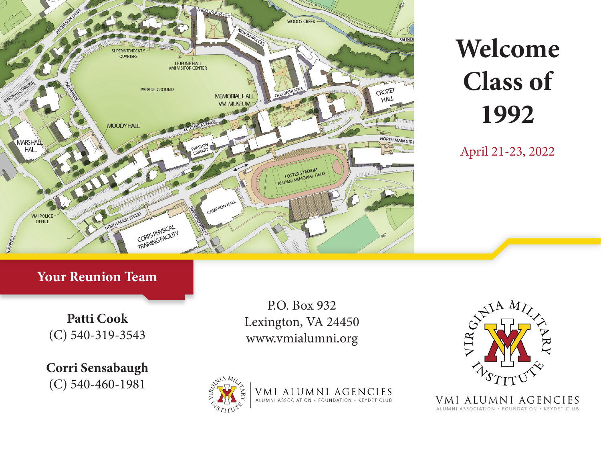

# **Welcome Class of 1992**

April 21-23, 2022

### **Your Reunion Team**

**Patti Cook** (C) 540-319-3543

**Corri Sensabaugh** (C) 540-460-1981

P.O. Box 932 Lexington, VA 24450 www.vmialumni.org



VMI ALUMNI AGENCIES ALUMNI ASSOCIATION · FOUNDATION · KEYDET CLUB



VMI ALUMNI AGENCIES ALUMNI ASSOCIATION · FOUNDATION · KEYDET CLUB